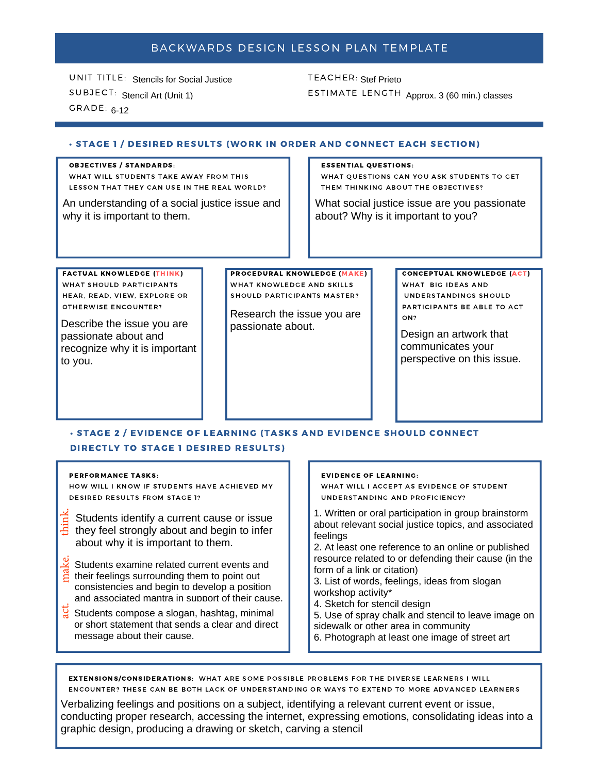# BACKWARDS DESIGN LESSON PLAN TEMPLATE

UNIT TITLE: Stencils for Social Justice SUBJECT: Stencil Art (Unit 1)  $GRADE: 6-12$ 

TEACHER: Stef Prieto ESTIMATE LENGTH Approx. 3 (60 min.) classes

## · STAGE 1 / DESIRED RESULTS (WORK IN ORDER AND CONNECT EACH SECTION)

### **OBJECTIVES / STANDARDS:**

WHAT WILL STUDENTS TAKE AWAY FROM THIS LESSON THAT THEY CAN USE IN THE REAL WORLD?

An understanding of a social justice issue and why it is important to them.

#### **ESSENTIAL QUESTIONS:**

WHAT QUESTIONS CAN YOU ASK STUDENTS TO GET THEM THINKING ABOUT THE OBJECTIVES?

What social justice issue are you passionate about? Why is it important to you?

**FACTUAL KNOWLEDGE (THINK)** WHAT SHOULD PARTICIPANTS HEAR, READ, VIEW, EXPLORE OR OTHERWISE ENCOUNTER?

Describe the issue you are passionate about and recognize why it is important to you.

**PROCEDURAL KNOWLEDGE (MAKE)** WHAT KNOWLEDGE AND SKILLS SHOULD PARTICIPANTS MASTER?

Research the issue you are passionate about.

**CONCEPTUAL KNOWLEDGE (ACT)** WHAT BIG IDEAS AND UNDERSTANDINGS SHOULD PARTICIPANTS BE ABLE TO ACT ON?

Design an artwork that communicates your perspective on this issue.

## · STAGE 2 / EVIDENCE OF LEARNING (TASKS AND EVIDENCE SHOULD CONNECT **DIRECTLY TO STAGE 1 DESIRED RESULTS)**

#### **PERFORMANCE TASKS:**

HOW WILL I KNOW IF STUDENTS HAVE ACHIEVED MY **DESIRED RESULTS FROM STAGE 1?** 

- $\frac{1}{3}$  Students identify a current cause or issue They feel strongly about and begin to infer about why it is important to them.
- Students examine related current events and  $\frac{8}{5}$  their feelings surrounding them to point out consistencies and begin to develop a position and associated mantra in support of their cause.
- $\frac{11}{8}$  Students compose a slogan, hashtag, minimal or short statement that sends a clear and direct message about their cause.

### **EVIDENCE OF LEARNING:**

WHAT WILL I ACCEPT AS EVIDENCE OF STUDENT UNDERSTANDING AND PROFICIENCY?

1. Written or oral participation in group brainstorm about relevant social justice topics, and associated feelings

2. At least one reference to an online or published resource related to or defending their cause (in the form of a link or citation)

3. List of words, feelings, ideas from slogan workshop activity\*

- 4. Sketch for stencil design
- 5. Use of spray chalk and stencil to leave image on
- sidewalk or other area in community
- 6. Photograph at least one image of street art

EXTENSIONS/CONSIDERATIONS: WHAT ARE SOME POSSIBLE PROBLEMS FOR THE DIVERSE LEARNERS I WILL ENCOUNTER? THESE CAN BE BOTH LACK OF UNDERSTANDING OR WAYS TO EXTEND TO MORE ADVANCED LEARNERS

Verbalizing feelings and positions on a subject, identifying a relevant current event or issue, conducting proper research, accessing the internet, expressing emotions, consolidating ideas into a graphic design, producing a drawing or sketch, carving a stencil